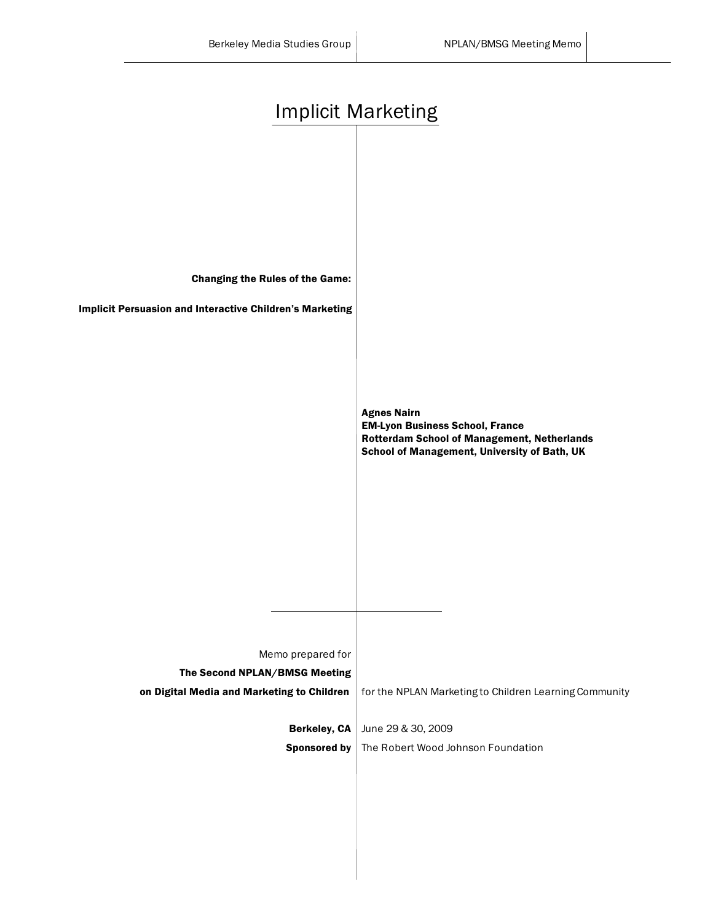| <b>Implicit Marketing</b>                                                                                                               |                                                                                                                                                                    |
|-----------------------------------------------------------------------------------------------------------------------------------------|--------------------------------------------------------------------------------------------------------------------------------------------------------------------|
| <b>Changing the Rules of the Game:</b><br>Implicit Persuasion and Interactive Children's Marketing                                      | <b>Agnes Nairn</b><br><b>EM-Lyon Business School, France</b><br><b>Rotterdam School of Management, Netherlands</b><br>School of Management, University of Bath, UK |
| Memo prepared for<br>The Second NPLAN/BMSG Meeting<br>on Digital Media and Marketing to Children<br>Berkeley, CA<br><b>Sponsored by</b> | for the NPLAN Marketing to Children Learning Community<br>June 29 & 30, 2009<br>The Robert Wood Johnson Foundation                                                 |
|                                                                                                                                         |                                                                                                                                                                    |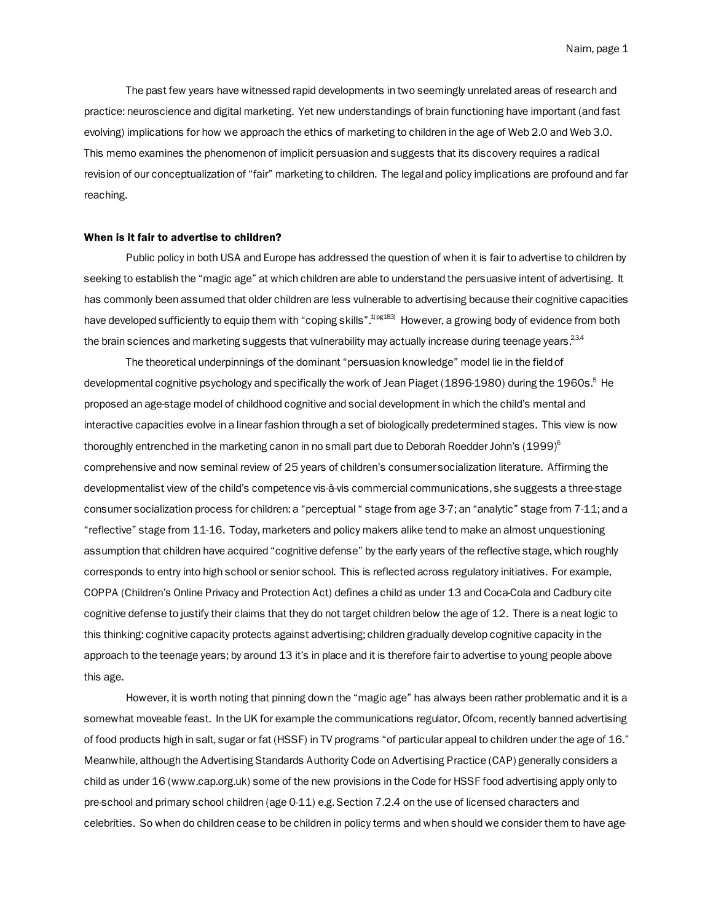The past few years have witnessed rapid developments in two seemingly unrelated areas of research and practice: neuroscience and digital marketing. Yet new understandings of brain functioning have important (and fast evolving) implications for how we approach the ethics of marketing to children in the age of Web 2.0 and Web 3.0. This memo examines the phenomenon of implicit persuasion and suggests that its discovery requires a radical revision of our conceptualization of "fair" marketing to children. The legal and policy implications are profound and far reaching.

# When is it fair to advertise to children?

Public policy in both USA and Europe has addressed the question of when it is fair to advertise to children by seeking to establish the "magic age" at which children are able to understand the persuasive intent of advertising. It has commonly been assumed that older children are less vulnerable to advertising because their cognitive capacities have developed sufficiently to equip them with "coping skills".<sup>1(pg183)</sup> However, a growing body of evidence from both the brain sciences and marketing suggests that vulnerability may actually increase during teenage years.  $234$ 

The theoretical underpinnings of the dominant "persuasion knowledge" model lie in the field of developmental cognitive psychology and specifically the work of Jean Piaget (1896-1980) during the 1960s.<sup>5</sup> He proposed an age-stage model of childhood cognitive and social development in which the child's mental and interactive capacities evolve in a linear fashion through a set of biologically predetermined stages. This view is now thoroughly entrenched in the marketing canon in no small part due to Deborah Roedder John's (1999)<sup>6</sup> comprehensive and now seminal review of 25 years of children's consumer socialization literature. Affirming the developmentalist view of the child's competence vis-à-vis commercial communications, she suggests a three-stage consumer socialization process for children: a "perceptual " stage from age 3-7; an "analytic" stage from 7-11; and a "reflective" stage from 11-16. Today, marketers and policy makers alike tend to make an almost unquestioning assumption that children have acquired "cognitive defense" by the early years of the reflective stage, which roughly corresponds to entry into high school or senior school. This is reflected across regulatory initiatives. For example, COPPA (Children's Online Privacy and Protection Act) defines a child as under 13 and Coca-Cola and Cadbury cite cognitive defense to justify their claims that they do not target children below the age of 12. There is a neat logic to this thinking: cognitive capacity protects against advertising; children gradually develop cognitive capacity in the approach to the teenage years; by around 13 it's in place and it is therefore fair to advertise to young people above this age.

However, it is worth noting that pinning down the "magic age" has always been rather problematic and it is a somewhat moveable feast. In the UK for example the communications regulator, Ofcom, recently banned advertising of food products high in salt, sugar or fat (HSSF) in TV programs "of particular appeal to children under the age of 16." Meanwhile, although the Advertising Standards Authority Code on Advertising Practice (CAP) generally considers a child as under 16 (www.cap.org.uk) some of the new provisions in the Code for HSSF food advertising apply only to pre-school and primary school children (age 0-11) e.g. Section 7.2.4 on the use of licensed characters and celebrities. So when do children cease to be children in policy terms and when should we consider them to have age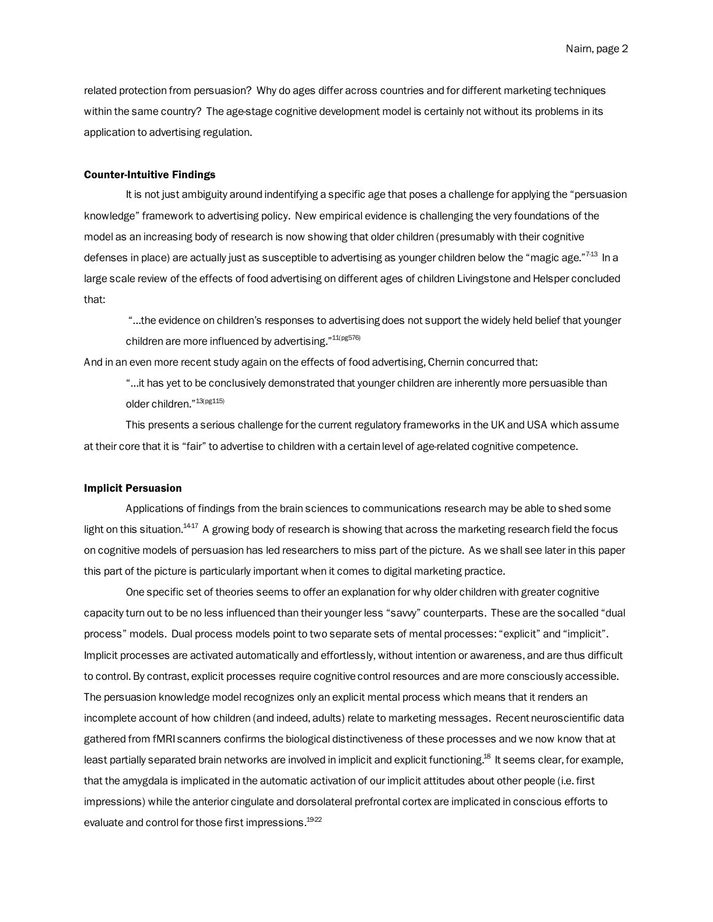related protection from persuasion? Why do ages differ across countries and for different marketing techniques within the same country? The age-stage cognitive development model is certainly not without its problems in its application to advertising regulation.

### Counter-Intuitive Findings

It is not just ambiguity around indentifying a specific age that poses a challenge for applying the "persuasion knowledge" framework to advertising policy. New empirical evidence is challenging the very foundations of the model as an increasing body of research is now showing that older children (presumably with their cognitive defenses in place) are actually just as susceptible to advertising as younger children below the "magic age."<sup>743</sup> In a large scale review of the effects of food advertising on different ages of children Livingstone and Helsper concluded that:

"…the evidence on children's responses to advertising does not support the widely held belief that younger children are more influenced by advertising."<sup>11(pg576)</sup>

And in an even more recent study again on the effects of food advertising, Chernin concurred that:

"…it has yet to be conclusively demonstrated that younger children are inherently more persuasible than older children."13(pg115)

This presents a serious challenge for the current regulatory frameworks in the UK and USA which assume at their core that it is "fair" to advertise to children with a certain level of age-related cognitive competence.

### Implicit Persuasion

Applications of findings from the brain sciences to communications research may be able to shed some light on this situation.<sup>1417</sup> A growing body of research is showing that across the marketing research field the focus on cognitive models of persuasion has led researchers to miss part of the picture. As we shall see later in this paper this part of the picture is particularly important when it comes to digital marketing practice.

One specific set of theories seems to offer an explanation for why older children with greater cognitive capacity turn out to be no less influenced than their younger less "savy" counterparts. These are the so-called "dual process" models. Dual process models point to two separate sets of mental processes: "explicit" and "implicit". Implicit processes are activated automatically and effortlessly, without intention or awareness, and are thus difficult to control. By contrast, explicit processes require cognitive control resources and are more consciously accessible. The persuasion knowledge model recognizes only an explicit mental process which means that it renders an incomplete account of how children (and indeed, adults) relate to marketing messages. Recent neuroscientific data gathered from fMRI scanners confirms the biological distinctiveness of these processes and we now know that at least partially separated brain networks are involved in implicit and explicit functioning.18 It seems clear, for example, that the amygdala is implicated in the automatic activation of our implicit attitudes about other people (i.e. first impressions) while the anterior cingulate and dorsolateral prefrontal cortex are implicated in conscious efforts to evaluate and control for those first impressions.<sup>1922</sup>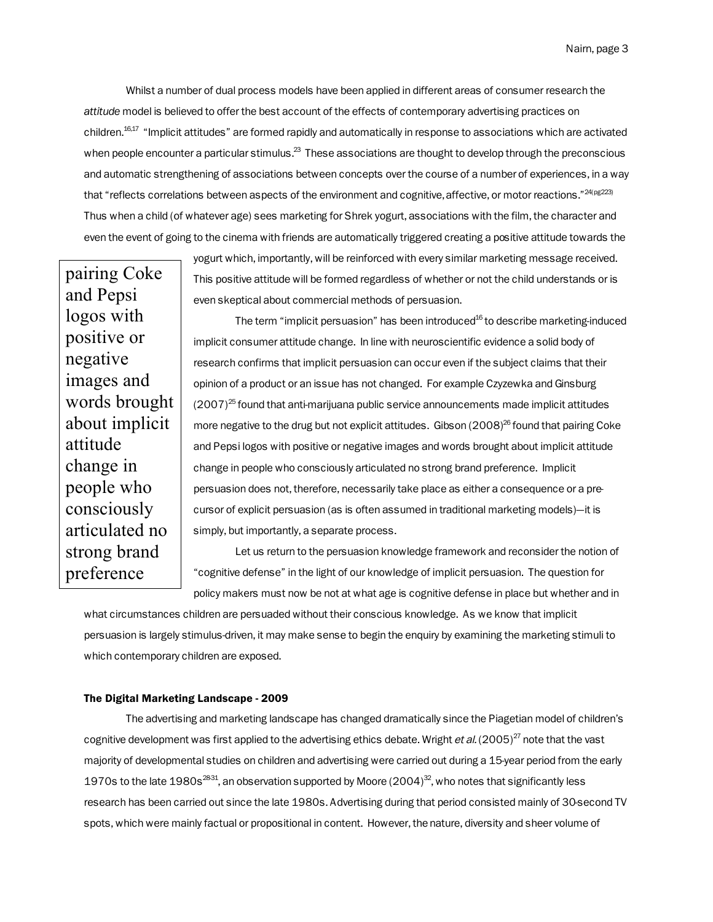Whilst a number of dual process models have been applied in different areas of consumer research the *attitude* model is believed to offer the best account of the effects of contemporary advertising practices on children.<sup>16,17</sup> "Implicit attitudes" are formed rapidly and automatically in response to associations which are activated when people encounter a particular stimulus.<sup>23</sup> These associations are thought to develop through the preconscious and automatic strengthening of associations between concepts over the course of a number of experiences, in a way that "reflects correlations between aspects of the environment and cognitive, affective, or motor reactions."<sup>24(pg223)</sup> Thus when a child (of whatever age) sees marketing for Shrek yogurt, associations with the film, the character and even the event of going to the cinema with friends are automatically triggered creating a positive attitude towards the

pairing Coke and Pepsi logos with positive or negative images and words brought about implicit attitude change in people who consciously articulated no strong brand preference

yogurt which, importantly, will be reinforced with every similar marketing message received. This positive attitude will be formed regardless of whether or not the child understands or is even skeptical about commercial methods of persuasion.

The term "implicit persuasion" has been introduced<sup>16</sup> to describe marketing-induced implicit consumer attitude change. In line with neuroscientific evidence a solid body of research confirms that implicit persuasion can occur even if the subject claims that their opinion of a product or an issue has not changed. For example Czyzewka and Ginsburg  $(2007)^{25}$  found that anti-marijuana public service announcements made implicit attitudes more negative to the drug but not explicit attitudes. Gibson  $(2008)^{26}$  found that pairing Coke and Pepsi logos with positive or negative images and words brought about implicit attitude change in people who consciously articulated no strong brand preference. Implicit persuasion does not, therefore, necessarily take place as either a consequence or a precursor of explicit persuasion (as is often assumed in traditional marketing models)—it is simply, but importantly, a separate process.

Let us return to the persuasion knowledge framework and reconsider the notion of "cognitive defense" in the light of our knowledge of implicit persuasion. The question for policy makers must now be not at what age is cognitive defense in place but whether and in

what circumstances children are persuaded without their conscious knowledge. As we know that implicit persuasion is largely stimulus-driven, it may make sense to begin the enquiry by examining the marketing stimuli to which contemporary children are exposed.

# The Digital Marketing Landscape - 2009

The advertising and marketing landscape has changed dramatically since the Piagetian model of children's cognitive development was first applied to the advertising ethics debate. Wright *et al.* (2005)<sup>27</sup> note that the vast majority of developmental studies on children and advertising were carried out during a 15-year period from the early 1970s to the late 1980s<sup>2831</sup>, an observation supported by Moore (2004)<sup>32</sup>, who notes that significantly less research has been carried out since the late 1980s. Advertising during that period consisted mainly of 30-second TV spots, which were mainly factual or propositional in content. However, the nature, diversity and sheer volume of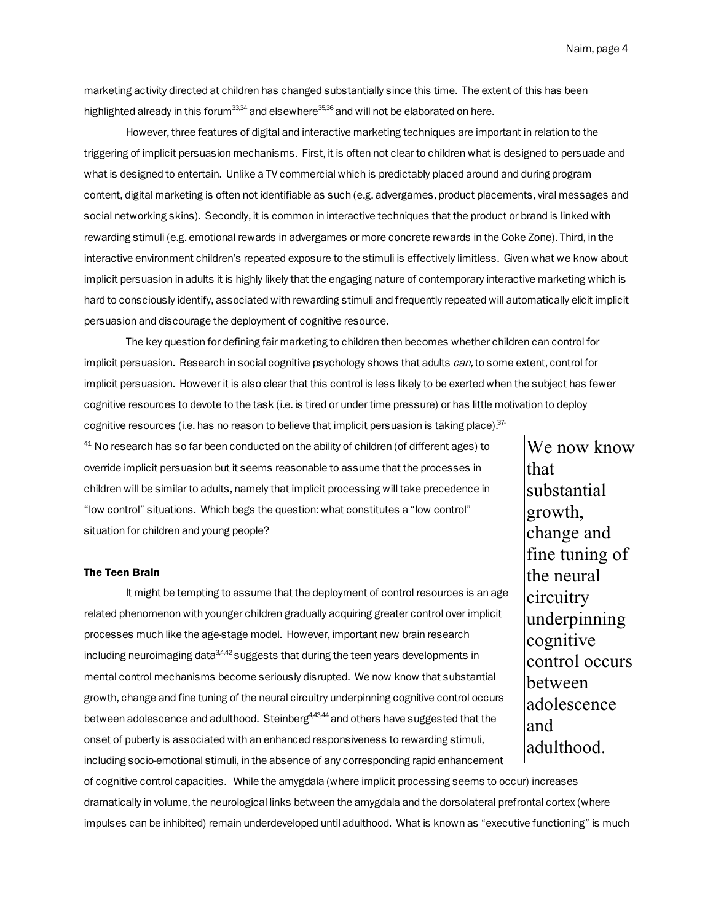marketing activity directed at children has changed substantially since this time. The extent of this has been highlighted already in this forum $^{33,34}$  and elsewhere $^{35,36}$  and will not be elaborated on here.

However, three features of digital and interactive marketing techniques are important in relation to the triggering of implicit persuasion mechanisms. First, it is often not clear to children what is designed to persuade and what is designed to entertain. Unlike a TV commercial which is predictably placed around and during program content, digital marketing is often not identifiable as such (e.g. advergames, product placements, viral messages and social networking skins). Secondly, it is common in interactive techniques that the product or brand is linked with rewarding stimuli (e.g. emotional rewards in advergames or more concrete rewards in the Coke Zone). Third, in the interactive environment children's repeated exposure to the stimuli is effectively limitless. Given what we know about implicit persuasion in adults it is highly likely that the engaging nature of contemporary interactive marketing which is hard to consciously identify, associated with rewarding stimuli and frequently repeated will automatically elicit implicit persuasion and discourage the deployment of cognitive resource.

The key question for defining fair marketing to children then becomes whether children can control for implicit persuasion. Research in social cognitive psychology shows that adults can, to some extent, control for implicit persuasion. However it is also clear that this control is less likely to be exerted when the subject has fewer cognitive resources to devote to the task (i.e. is tired or under time pressure) or has little motivation to deploy cognitive resources (i.e. has no reason to believe that implicit persuasion is taking place).  $37$ -

 $41$  No research has so far been conducted on the ability of children (of different ages) to override implicit persuasion but it seems reasonable to assume that the processes in children will be similar to adults, namely that implicit processing will take precedence in "low control" situations. Which begs the question: what constitutes a "low control" situation for children and young people?

# The Teen Brain

It might be tempting to assume that the deployment of control resources is an age related phenomenon with younger children gradually acquiring greater control over implicit processes much like the age-stage model. However, important new brain research  $\mu$ including neuroimaging data<sup>3,4,42</sup> suggests that during the teen years developments in mental control mechanisms become seriously disrupted. We now know that substantial growth, change and fine tuning of the neural circuitry underpinning cognitive control occurs between adolescence and adulthood. Steinberg<sup>4,43,44</sup> and others have suggested that the onset of puberty is associated with an enhanced responsiveness to rewarding stimuli, including socio-emotional stimuli, in the absence of any corresponding rapid enhancement

We now know that substantial growth, change and fine tuning of the neural circuitry underpinning cognitive control occurs between adolescence and adulthood.

of cognitive control capacities. While the amygdala (where implicit processing seems to occur) increases dramatically in volume, the neurological links between the amygdala and the dorsolateral prefrontal cortex (where impulses can be inhibited) remain underdeveloped until adulthood. What is known as "executive functioning" is much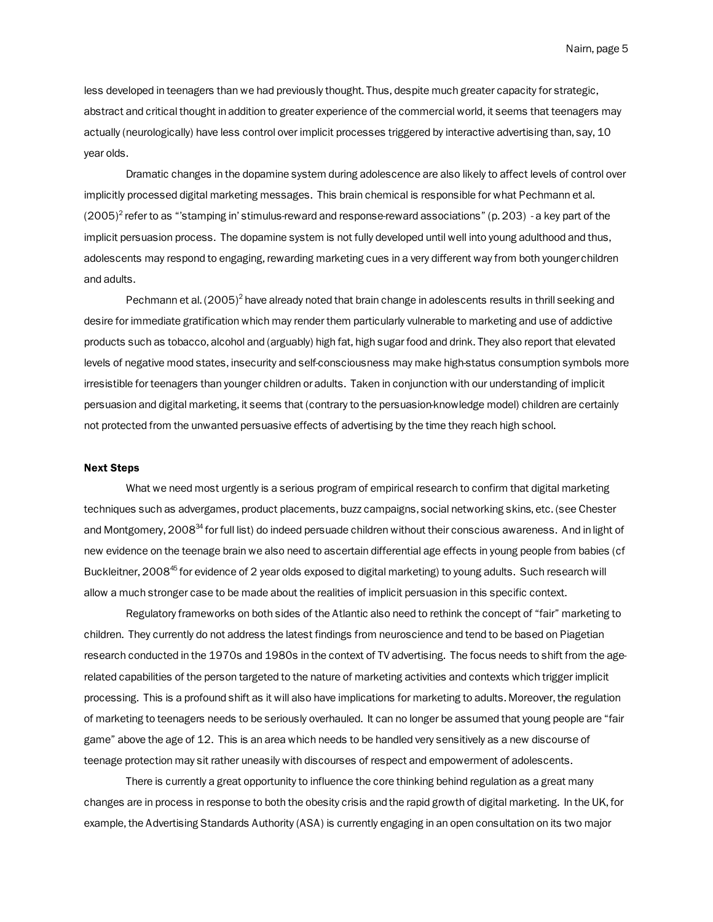less developed in teenagers than we had previously thought. Thus, despite much greater capacity for strategic, abstract and critical thought in addition to greater experience of the commercial world, it seems that teenagers may actually (neurologically) have less control over implicit processes triggered by interactive advertising than, say, 10 year olds.

Dramatic changes in the dopamine system during adolescence are also likely to affect levels of control over implicitly processed digital marketing messages. This brain chemical is responsible for what Pechmann et al. (2005) $^2$  refer to as "'stamping in' stimulus-reward and response-reward associations" (p. 203)  $\,$  - a key part of the implicit persuasion process. The dopamine system is not fully developed until well into young adulthood and thus, adolescents may respond to engaging, rewarding marketing cues in a very different way from both younger children and adults.

Pechmann et al. (2005)<sup>2</sup> have already noted that brain change in adolescents results in thrill seeking and desire for immediate gratification which may render them particularly vulnerable to marketing and use of addictive products such as tobacco, alcohol and (arguably) high fat, high sugar food and drink. They also report that elevated levels of negative mood states, insecurity and self-consciousness may make high-status consumption symbols more irresistible for teenagers than younger children or adults. Taken in conjunction with our understanding of implicit persuasion and digital marketing, it seems that (contrary to the persuasion-knowledge model) children are certainly not protected from the unwanted persuasive effects of advertising by the time they reach high school.

### Next Steps

What we need most urgently is a serious program of empirical research to confirm that digital marketing techniques such as advergames, product placements, buzz campaigns, social networking skins, etc. (see Chester and Montgomery, 2008<sup>34</sup> for full list) do indeed persuade children without their conscious awareness. And in light of new evidence on the teenage brain we also need to ascertain differential age effects in young people from babies (cf Buckleitner, 2008<sup>45</sup> for evidence of 2 year olds exposed to digital marketing) to young adults. Such research will allow a much stronger case to be made about the realities of implicit persuasion in this specific context.

Regulatory frameworks on both sides of the Atlantic also need to rethink the concept of "fair" marketing to children. They currently do not address the latest findings from neuroscience and tend to be based on Piagetian research conducted in the 1970s and 1980s in the context of TV advertising. The focus needs to shift from the agerelated capabilities of the person targeted to the nature of marketing activities and contexts which trigger implicit processing. This is a profound shift as it will also have implications for marketing to adults. Moreover, the regulation of marketing to teenagers needs to be seriously overhauled. It can no longer be assumed that young people are "fair game" above the age of 12. This is an area which needs to be handled very sensitively as a new discourse of teenage protection may sit rather uneasily with discourses of respect and empowerment of adolescents.

There is currently a great opportunity to influence the core thinking behind regulation as a great many changes are in process in response to both the obesity crisis and the rapid growth of digital marketing. In the UK, for example, the Advertising Standards Authority (ASA) is currently engaging in an open consultation on its two major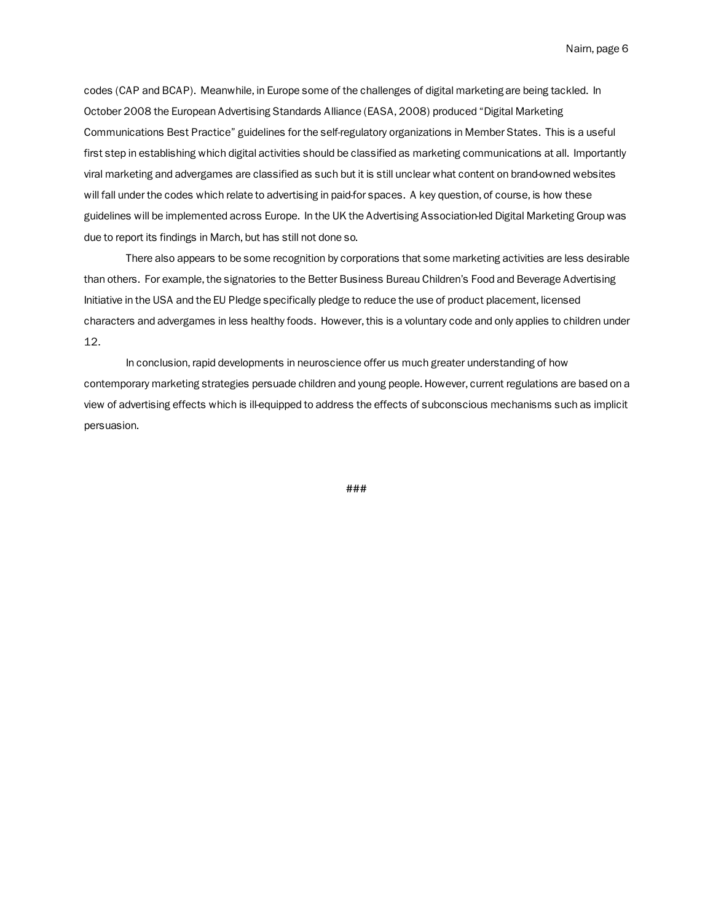codes (CAP and BCAP). Meanwhile, in Europe some of the challenges of digital marketing are being tackled. In October 2008 the European Advertising Standards Alliance (EASA, 2008) produced "Digital Marketing Communications Best Practice" guidelines for the self-regulatory organizations in Member States. This is a useful first step in establishing which digital activities should be classified as marketing communications at all. Importantly viral marketing and advergames are classified as such but it is still unclear what content on brand-owned websites will fall under the codes which relate to advertising in paid-for spaces. A key question, of course, is how these guidelines will be implemented across Europe. In the UK the Advertising Association-led Digital Marketing Group was due to report its findings in March, but has still not done so.

There also appears to be some recognition by corporations that some marketing activities are less desirable than others. For example, the signatories to the Better Business Bureau Children's Food and Beverage Advertising Initiative in the USA and the EU Pledge specifically pledge to reduce the use of product placement, licensed characters and advergames in less healthy foods. However, this is a voluntary code and only applies to children under 12.

In conclusion, rapid developments in neuroscience offer us much greater understanding of how contemporary marketing strategies persuade children and young people. However, current regulations are based on a view of advertising effects which is ill-equipped to address the effects of subconscious mechanisms such as implicit persuasion.

###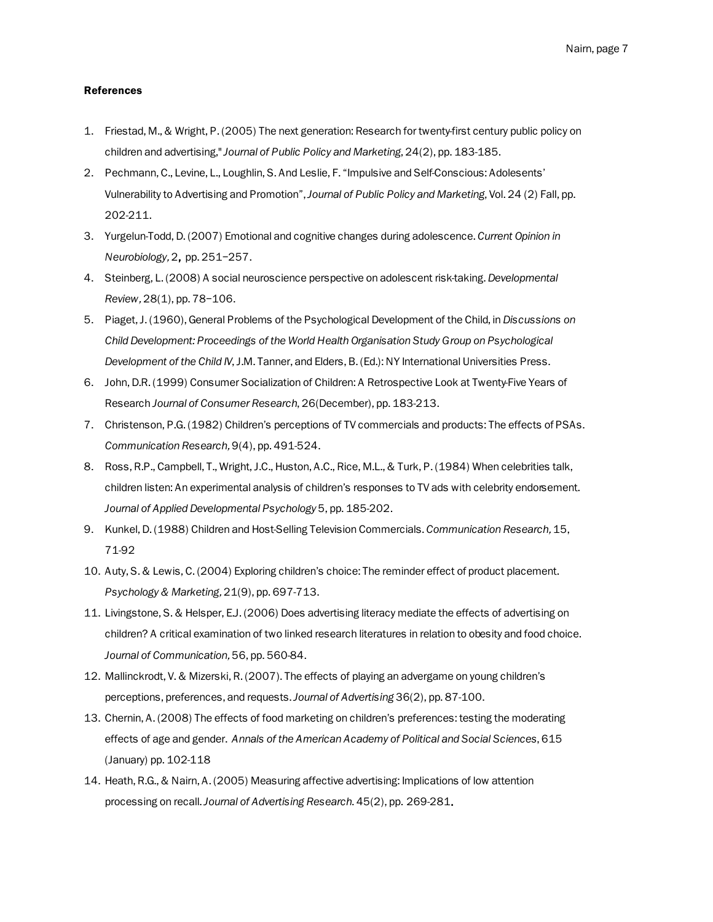# References

- 1. Friestad, M., & Wright, P. (2005) The next generation: Research for twenty-first century public policy on children and advertising," *Journal of Public Policy and Marketing*, 24(2), pp. 183-185.
- 2. Pechmann, C., Levine, L., Loughlin, S. And Leslie, F. "Impulsive and Self-Conscious: Adolesents' Vulnerability to Advertising and Promotion", *Journal of Public Policy and Marketing*, Vol. 24 (2) Fall, pp. 202-211.
- 3. Yurgelun-Todd, D. (2007) Emotional and cognitive changes during adolescence. *Current Opinion in Neurobiology*, 2, pp. 251–257.
- 4. Steinberg, L. (2008) A social neuroscience perspective on adolescent risk-taking. *Developmental Review*, 28(1), pp. 78–106.
- 5. Piaget, J. (1960), General Problems of the Psychological Development of the Child, in *Discussions on Child Development: Proceedings of the World Health Organisation Study Group on Psychological Development of the Child IV*, J.M. Tanner, and Elders, B. (Ed.): NY International Universities Press.
- 6. John, D.R. (1999) Consumer Socialization of Children: A Retrospective Look at Twenty-Five Years of Research *Journal of Consumer Research*, 26(December), pp. 183-213.
- 7. Christenson, P.G. (1982) Children's perceptions of TV commercials and products: The effects of PSAs. *Communication Research*, 9(4), pp. 491-524.
- 8. Ross, R.P., Campbell, T., Wright, J.C., Huston, A.C., Rice, M.L., & Turk, P. (1984) When celebrities talk, children listen: An experimental analysis of children's responses to TV ads with celebrity endorsement. *Journal of Applied Developmental Psychology* 5, pp. 185-202.
- 9. Kunkel, D. (1988) Children and Host-Selling Television Commercials. *Communication Research*, 15, 71-92
- 10. Auty, S. & Lewis, C. (2004) Exploring children's choice: The reminder effect of product placement. *Psychology & Marketing*, 21(9), pp. 697-713.
- 11. Livingstone, S. & Helsper, E.J. (2006) Does advertising literacy mediate the effects of advertising on children? A critical examination of two linked research literatures in relation to obesity and food choice. *Journal of Communication*, 56, pp. 560-84.
- 12. Mallinckrodt, V. & Mizerski, R. (2007). The effects of playing an advergame on young children's perceptions, preferences, and requests. *Journal of Advertising* 36(2), pp. 87-100.
- 13. Chernin, A. (2008) The effects of food marketing on children's preferences: testing the moderating effects of age and gender. *Annals of the American Academy of Political and Social Sciences*, 615 (January) pp. 102-118
- 14. Heath, R.G., & Nairn, A. (2005) Measuring affective advertising: Implications of low attention processing on recall. *Journal of Advertising Research*. 45(2), pp. 269-281.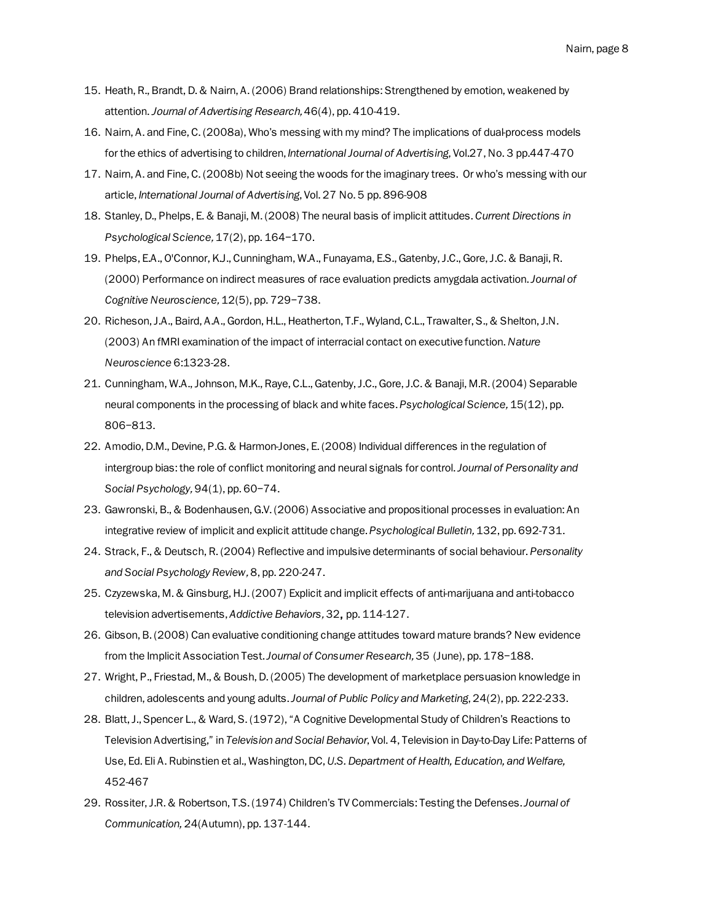- 15. Heath, R., Brandt, D. & Nairn, A. (2006) Brand relationships: Strengthened by emotion, weakened by attention. Journal of Advertising Research, 46(4), pp. 410-419.
- 16. Nairn, A. and Fine, C. (2008a), Who's messing with my mind? The implications of dual-process models for the ethics of advertising to children, *International Journal of Advertising*, Vol.27, No. 3 pp.447-470
- 17. Nairn, A. and Fine, C. (2008b) Not seeing the woods for the imaginary trees. Or who's messing with our article, *International Journal of Advertising*, Vol. 27 No. 5 pp. 896-908
- 18. Stanley, D., Phelps, E. & Banaji, M. (2008) The neural basis of implicit attitudes. *Current Directions in Psychological Science*, 17(2), pp. 164–170.
- 19. Phelps, E.A., O'Connor, K.J., Cunningham, W.A., Funayama, E.S., Gatenby, J.C., Gore, J.C. & Banaji, R. (2000) Performance on indirect measures of race evaluation predicts amygdala activation. *Journal of Cognitive Neuroscience*, 12(5), pp. 729–738.
- 20. Richeson, J.A., Baird, A.A., Gordon, H.L., Heatherton, T.F., Wyland, C.L., Trawalter, S., & Shelton, J.N. (2003) An fMRI examination of the impact of interracial contact on executive function.*Nature Neuroscience* 6:1323-28.
- 21. Cunningham, W.A., Johnson, M.K., Raye, C.L., Gatenby, J.C., Gore, J.C. & Banaji, M.R. (2004) Separable neural components in the processing of black and white faces. *Psychological Science*, 15(12), pp. 806–813.
- 22. Amodio, D.M., Devine, P.G. & Harmon-Jones, E. (2008) Individual differences in the regulation of intergroup bias: the role of conflict monitoring and neural signals for control. *Journal of Personality and Social Psychology*, 94(1), pp. 60–74.
- 23. Gawronski, B., & Bodenhausen, G.V. (2006) Associative and propositional processes in evaluation: An integrative review of implicit and explicit attitude change. *Psychological Bulletin*, 132, pp. 692-731.
- 24. Strack, F., & Deutsch, R. (2004) Reflective and impulsive determinants of social behaviour. *Personality and Social Psychology Review*, 8, pp. 220-247.
- 25. Czyzewska, M. & Ginsburg, H.J. (2007) Explicit and implicit effects of anti-marijuana and anti-tobacco television advertisements, *Addictive Behaviors*, 32, pp. 114-127.
- 26. Gibson, B. (2008) Can evaluative conditioning change attitudes toward mature brands? New evidence from the Implicit Association Test. *Journal of Consumer Research*, 35 (June), pp. 178–188.
- 27. Wright, P., Friestad, M., & Boush, D. (2005) The development of marketplace persuasion knowledge in children, adolescents and young adults. *Journal of Public Policy and Marketing*, 24(2), pp. 222-233.
- 28. Blatt, J., Spencer L., & Ward, S. (1972), "A Cognitive Developmental Study of Children's Reactions to Television Advertising," in *Television and Social Behavior*, Vol. 4, Television in Day-to-Day Life: Patterns of Use, Ed. Eli A. Rubinstien et al., Washington, DC, *U.S. Department of Health, Education, and Welfare,* 452-467
- 29. Rossiter, J.R. & Robertson, T.S. (1974) Children's TV Commercials: Testing the Defenses. *Journal of Communication,* 24(Autumn), pp. 137-144.